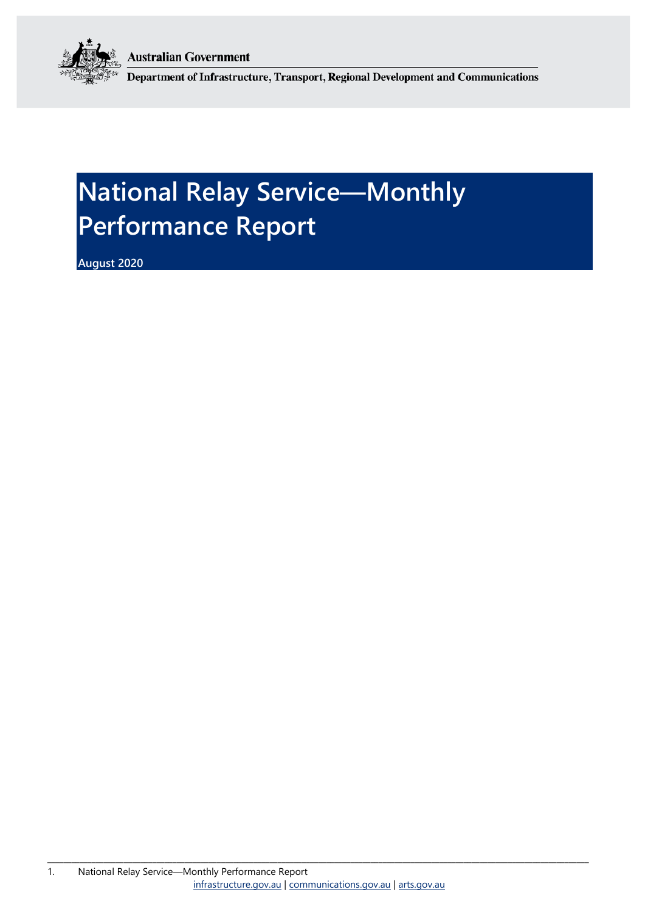**Australian Government** 



Department of Infrastructure, Transport, Regional Development and Communications

# **National Relay Service—Monthly Performance Report**

**August 2020**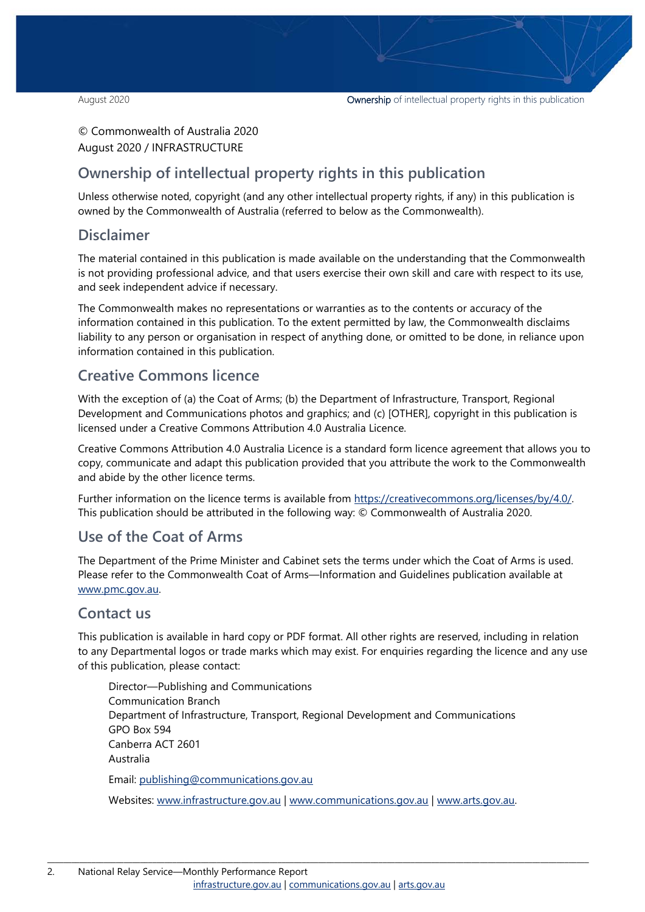#### © Commonwealth of Australia 2020 August 2020 / INFRASTRUCTURE

### **Ownership of intellectual property rights in this publication**

Unless otherwise noted, copyright (and any other intellectual property rights, if any) in this publication is owned by the Commonwealth of Australia (referred to below as the Commonwealth).

#### **Disclaimer**

The material contained in this publication is made available on the understanding that the Commonwealth is not providing professional advice, and that users exercise their own skill and care with respect to its use, and seek independent advice if necessary.

The Commonwealth makes no representations or warranties as to the contents or accuracy of the information contained in this publication. To the extent permitted by law, the Commonwealth disclaims liability to any person or organisation in respect of anything done, or omitted to be done, in reliance upon information contained in this publication.

#### **Creative Commons licence**

With the exception of (a) the Coat of Arms; (b) the Department of Infrastructure, Transport, Regional Development and Communications photos and graphics; and (c) [OTHER], copyright in this publication is licensed under a Creative Commons Attribution 4.0 Australia Licence.

Creative Commons Attribution 4.0 Australia Licence is a standard form licence agreement that allows you to copy, communicate and adapt this publication provided that you attribute the work to the Commonwealth and abide by the other licence terms.

Further information on the licence terms is available from [https://creativecommons.org/licenses/by/4.0/.](https://creativecommons.org/licenses/by/4.0/) This publication should be attributed in the following way: © Commonwealth of Australia 2020.

#### **Use of the Coat of Arms**

The Department of the Prime Minister and Cabinet sets the terms under which the Coat of Arms is used. Please refer to the Commonwealth Coat of Arms—Information and Guidelines publication available at [www.pmc.gov.au.](http://www.pmc.gov.au/) 

#### **Contact us**

This publication is available in hard copy or PDF format. All other rights are reserved, including in relation to any Departmental logos or trade marks which may exist. For enquiries regarding the licence and any use of this publication, please contact:

Director—Publishing and Communications Communication Branch Department of Infrastructure, Transport, Regional Development and Communications GPO Box 594 Canberra ACT 2601 Australia Email: [publishing@communications.gov.au](mailto:publishing@communications.gov.au)

Websites: [www.infrastructure.gov.au](http://www.infrastructure.gov.au/) | [www.communications.gov.au](http://www.communications.gov.au/) | [www.arts.gov.au.](http://www.arts.gov.au/)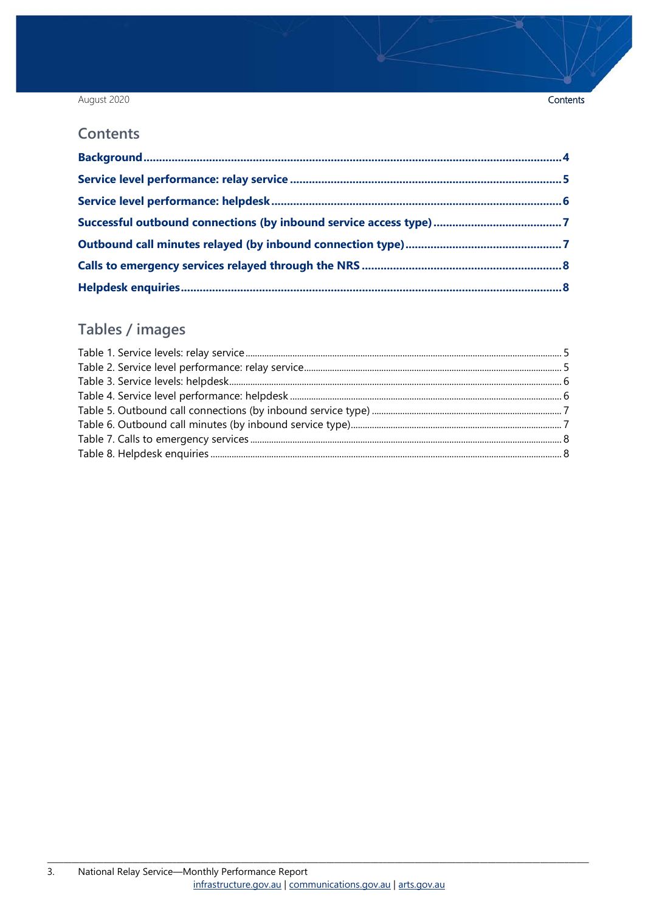#### August 2020

#### **Contents**

### Tables / images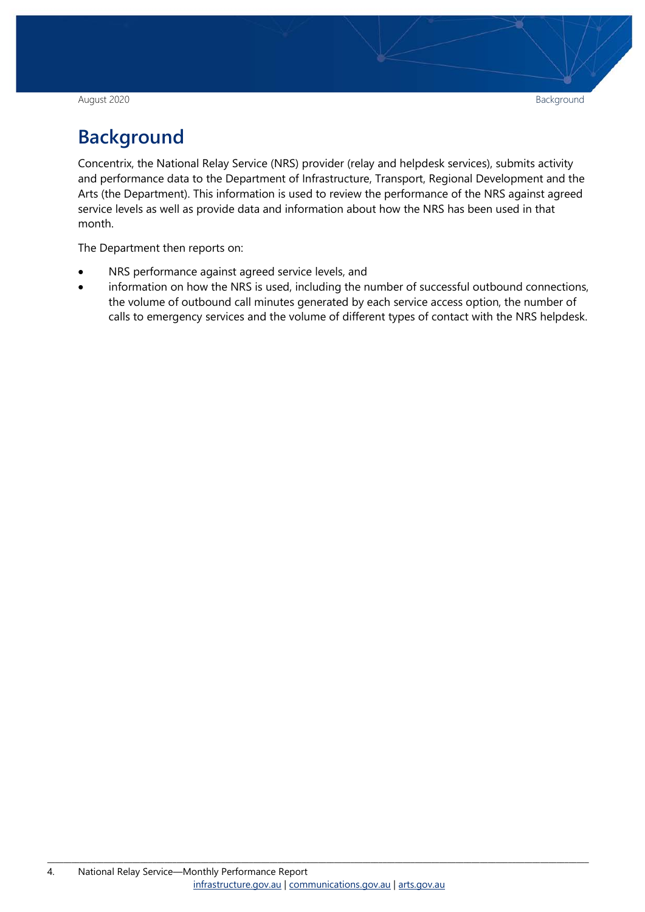August 2020 Background

## <span id="page-3-0"></span>**Background**

Concentrix, the National Relay Service (NRS) provider (relay and helpdesk services), submits activity and performance data to the Department of Infrastructure, Transport, Regional Development and the Arts (the Department). This information is used to review the performance of the NRS against agreed service levels as well as provide data and information about how the NRS has been used in that month.

The Department then reports on:

- NRS performance against agreed service levels, and
- information on how the NRS is used, including the number of successful outbound connections, the volume of outbound call minutes generated by each service access option, the number of calls to emergency services and the volume of different types of contact with the NRS helpdesk.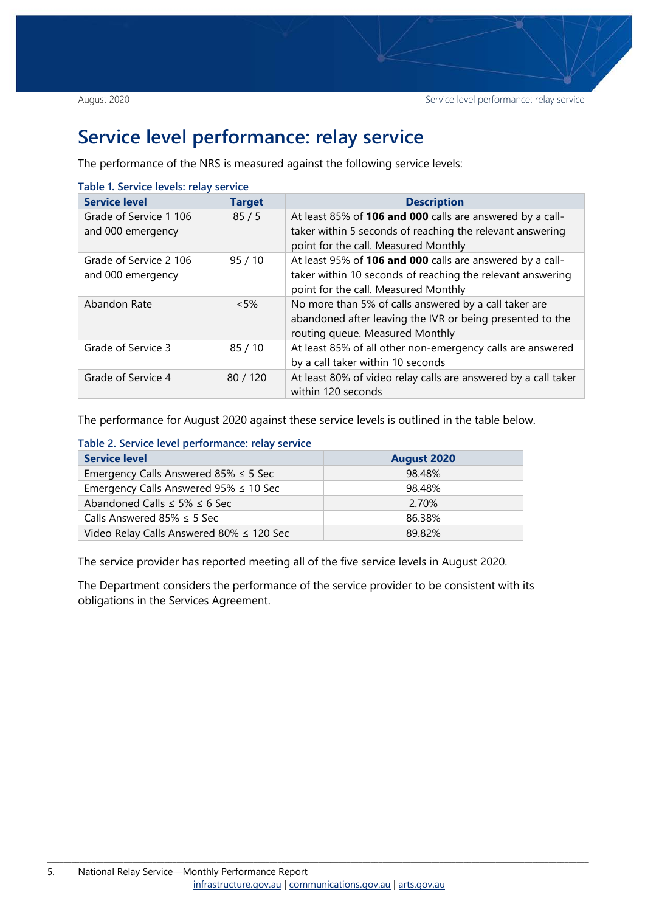### <span id="page-4-0"></span>**Service level performance: relay service**

The performance of the NRS is measured against the following service levels:

| <b>Service level</b>                        | <b>Target</b> | <b>Description</b>                                                                                                                                              |
|---------------------------------------------|---------------|-----------------------------------------------------------------------------------------------------------------------------------------------------------------|
| Grade of Service 1 106<br>and 000 emergency | 85/5          | At least 85% of 106 and 000 calls are answered by a call-<br>taker within 5 seconds of reaching the relevant answering<br>point for the call. Measured Monthly  |
| Grade of Service 2 106<br>and 000 emergency | 95/10         | At least 95% of 106 and 000 calls are answered by a call-<br>taker within 10 seconds of reaching the relevant answering<br>point for the call. Measured Monthly |
| Abandon Rate                                | $<5\%$        | No more than 5% of calls answered by a call taker are<br>abandoned after leaving the IVR or being presented to the<br>routing queue. Measured Monthly           |
| Grade of Service 3                          | 85/10         | At least 85% of all other non-emergency calls are answered<br>by a call taker within 10 seconds                                                                 |
| Grade of Service 4                          | 80/120        | At least 80% of video relay calls are answered by a call taker<br>within 120 seconds                                                                            |

#### <span id="page-4-1"></span>**Table 1. Service levels: relay service**

The performance for August 2020 against these service levels is outlined in the table below.

<span id="page-4-2"></span>**Table 2. Service level performance: relay service** 

| <b>Service level</b>                          | <b>August 2020</b> |
|-----------------------------------------------|--------------------|
| Emergency Calls Answered 85% $\leq$ 5 Sec     | 98.48%             |
| Emergency Calls Answered $95\% \leq 10$ Sec   | 98.48%             |
| Abandoned Calls $\leq$ 5% $\leq$ 6 Sec        | 2.70%              |
| Calls Answered 85% $\leq$ 5 Sec               | 86.38%             |
| Video Relay Calls Answered 80% $\leq$ 120 Sec | 89.82%             |

The service provider has reported meeting all of the five service levels in August 2020.

The Department considers the performance of the service provider to be consistent with its obligations in the Services Agreement.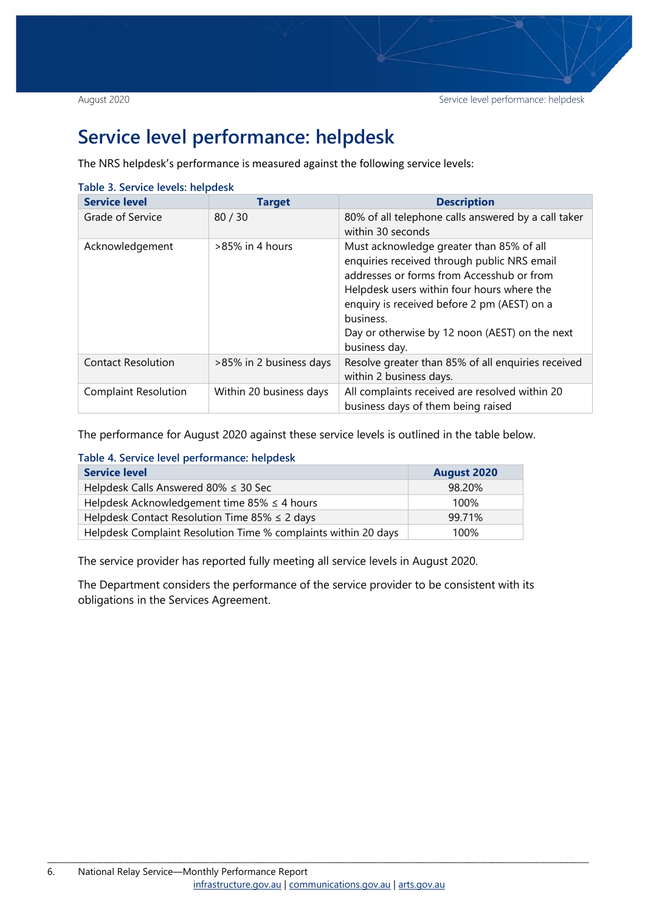## <span id="page-5-0"></span>**Service level performance: helpdesk**

The NRS helpdesk's performance is measured against the following service levels:

| <b>Service level</b>        | <b>Target</b>           | <b>Description</b>                                                                                                                                                                                                                                                                                                |
|-----------------------------|-------------------------|-------------------------------------------------------------------------------------------------------------------------------------------------------------------------------------------------------------------------------------------------------------------------------------------------------------------|
| Grade of Service            | 80/30                   | 80% of all telephone calls answered by a call taker<br>within 30 seconds                                                                                                                                                                                                                                          |
| Acknowledgement             | >85% in 4 hours         | Must acknowledge greater than 85% of all<br>enquiries received through public NRS email<br>addresses or forms from Accesshub or from<br>Helpdesk users within four hours where the<br>enquiry is received before 2 pm (AEST) on a<br>business.<br>Day or otherwise by 12 noon (AEST) on the next<br>business day. |
| <b>Contact Resolution</b>   | >85% in 2 business days | Resolve greater than 85% of all enquiries received<br>within 2 business days.                                                                                                                                                                                                                                     |
| <b>Complaint Resolution</b> | Within 20 business days | All complaints received are resolved within 20<br>business days of them being raised                                                                                                                                                                                                                              |

<span id="page-5-1"></span>**Table 3. Service levels: helpdesk**

The performance for August 2020 against these service levels is outlined in the table below.

<span id="page-5-2"></span>

| <b>Service level</b>                                           | <b>August 2020</b> |
|----------------------------------------------------------------|--------------------|
| Helpdesk Calls Answered 80% $\leq$ 30 Sec                      | 98.20%             |
| Helpdesk Acknowledgement time 85% $\leq$ 4 hours               | 100%               |
| Helpdesk Contact Resolution Time 85% $\leq$ 2 days             | 99.71%             |
| Helpdesk Complaint Resolution Time % complaints within 20 days | 100%               |

The service provider has reported fully meeting all service levels in August 2020.

The Department considers the performance of the service provider to be consistent with its obligations in the Services Agreement.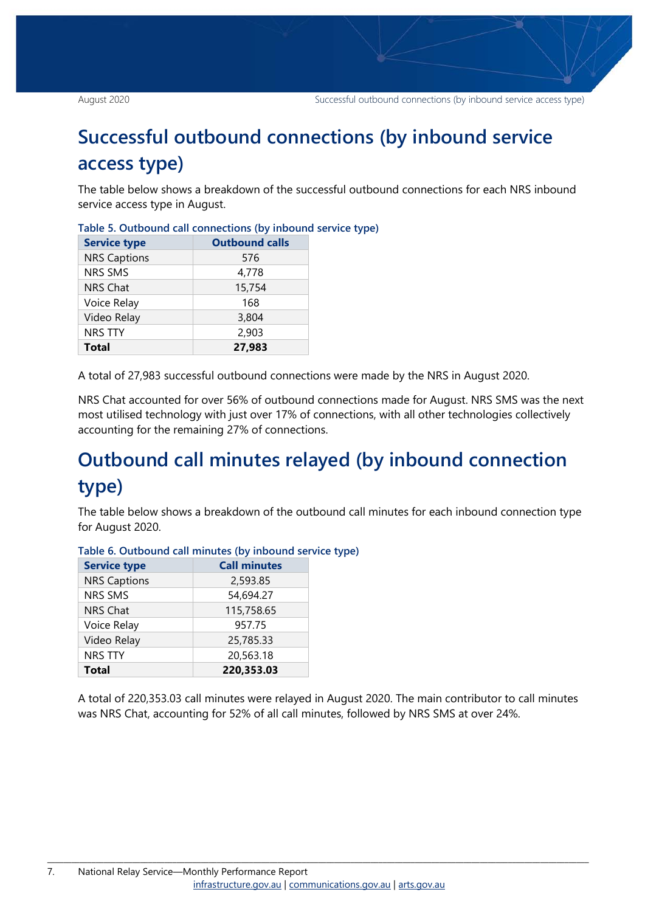# <span id="page-6-0"></span>**Successful outbound connections (by inbound service access type)**

The table below shows a breakdown of the successful outbound connections for each NRS inbound service access type in August.

| <b>Service type</b> | <b>Outbound calls</b> |
|---------------------|-----------------------|
| <b>NRS Captions</b> | 576                   |
| <b>NRS SMS</b>      | 4,778                 |
| <b>NRS Chat</b>     | 15,754                |
| Voice Relay         | 168                   |
| Video Relay         | 3,804                 |
| <b>NRS TTY</b>      | 2,903                 |
| <b>Total</b>        | 27,983                |

<span id="page-6-2"></span>

|  | Table 5. Outbound call connections (by inbound service type) |  |  |
|--|--------------------------------------------------------------|--|--|
|  |                                                              |  |  |

A total of 27,983 successful outbound connections were made by the NRS in August 2020.

NRS Chat accounted for over 56% of outbound connections made for August. NRS SMS was the next most utilised technology with just over 17% of connections, with all other technologies collectively accounting for the remaining 27% of connections.

# <span id="page-6-1"></span>**Outbound call minutes relayed (by inbound connection type)**

The table below shows a breakdown of the outbound call minutes for each inbound connection type for August 2020.

| <b>Service type</b> | <b>Call minutes</b> |
|---------------------|---------------------|
| <b>NRS Captions</b> | 2,593.85            |
| <b>NRS SMS</b>      | 54,694.27           |
| <b>NRS Chat</b>     | 115,758.65          |
| Voice Relay         | 957.75              |
| Video Relay         | 25,785.33           |
| <b>NRS TTY</b>      | 20,563.18           |
| <b>Total</b>        | 220,353.03          |

<span id="page-6-3"></span>**Table 6. Outbound call minutes (by inbound service type)**

A total of 220,353.03 call minutes were relayed in August 2020. The main contributor to call minutes was NRS Chat, accounting for 52% of all call minutes, followed by NRS SMS at over 24%.